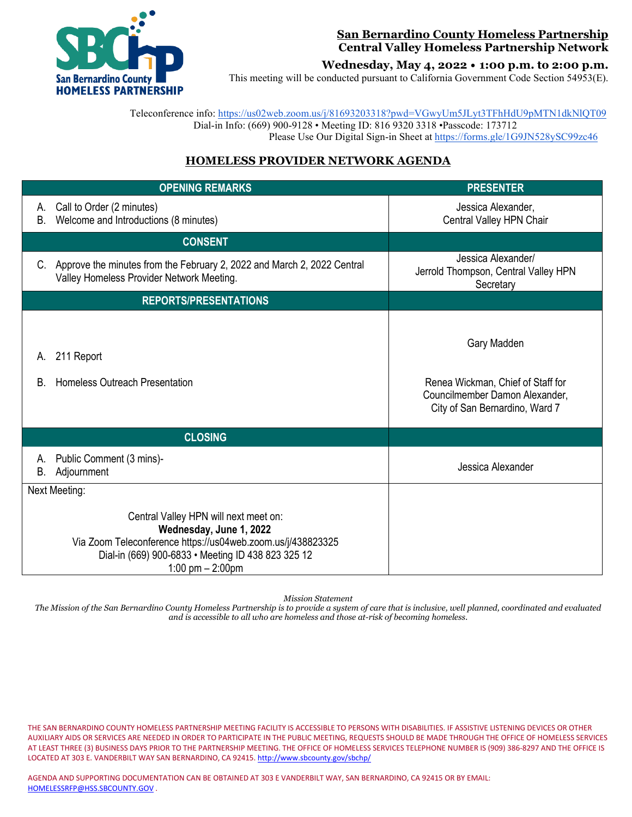

#### **San Bernardino County Homeless Partnership Central Valley Homeless Partnership Network**

**Wednesday, May 4, 2022 • 1:00 p.m. to 2:00 p.m.**

This meeting will be conducted pursuant to California Government Code Section 54953(E).

 Teleconference info:<https://us02web.zoom.us/j/81693203318?pwd=VGwyUm5JLyt3TFhHdU9pMTN1dkNlQT09> Dial-in Info: (669) 900-9128 • Meeting ID: 816 9320 3318 •Passcode: 173712 Please Use Our Digital Sign-in Sheet at <https://forms.gle/1G9JN528ySC99zc46>

### **HOMELESS PROVIDER NETWORK AGENDA**

|               | <b>OPENING REMARKS</b>                                                                                                                                                                                       | <b>PRESENTER</b>                                                                                                     |
|---------------|--------------------------------------------------------------------------------------------------------------------------------------------------------------------------------------------------------------|----------------------------------------------------------------------------------------------------------------------|
| А.<br>Β.      | Call to Order (2 minutes)<br>Welcome and Introductions (8 minutes)                                                                                                                                           | Jessica Alexander,<br>Central Valley HPN Chair                                                                       |
|               | <b>CONSENT</b>                                                                                                                                                                                               |                                                                                                                      |
| C.            | Approve the minutes from the February 2, 2022 and March 2, 2022 Central<br>Valley Homeless Provider Network Meeting.                                                                                         | Jessica Alexander/<br>Jerrold Thompson, Central Valley HPN<br>Secretary                                              |
|               | <b>REPORTS/PRESENTATIONS</b>                                                                                                                                                                                 |                                                                                                                      |
| А.<br>B.      | 211 Report<br>Homeless Outreach Presentation                                                                                                                                                                 | Gary Madden<br>Renea Wickman, Chief of Staff for<br>Councilmember Damon Alexander,<br>City of San Bernardino, Ward 7 |
|               | <b>CLOSING</b>                                                                                                                                                                                               |                                                                                                                      |
| А.<br>В.      | Public Comment (3 mins)-<br>Adjournment                                                                                                                                                                      | Jessica Alexander                                                                                                    |
| Next Meeting: |                                                                                                                                                                                                              |                                                                                                                      |
|               | Central Valley HPN will next meet on:<br>Wednesday, June 1, 2022<br>Via Zoom Teleconference https://us04web.zoom.us/j/438823325<br>Dial-in (669) 900-6833 · Meeting ID 438 823 325 12<br>1:00 pm $- 2:00$ pm |                                                                                                                      |

*Mission Statement*

*The Mission of the San Bernardino County Homeless Partnership is to provide a system of care that is inclusive, well planned, coordinated and evaluated and is accessible to all who are homeless and those at-risk of becoming homeless.*

THE SAN BERNARDINO COUNTY HOMELESS PARTNERSHIP MEETING FACILITY IS ACCESSIBLE TO PERSONS WITH DISABILITIES. IF ASSISTIVE LISTENING DEVICES OR OTHER AUXILIARY AIDS OR SERVICES ARE NEEDED IN ORDER TO PARTICIPATE IN THE PUBLIC MEETING, REQUESTS SHOULD BE MADE THROUGH THE OFFICE OF HOMELESS SERVICES AT LEAST THREE (3) BUSINESS DAYS PRIOR TO THE PARTNERSHIP MEETING. THE OFFICE OF HOMELESS SERVICES TELEPHONE NUMBER IS (909) 386-8297 AND THE OFFICE IS LOCATED AT 303 E. VANDERBILT WAY SAN BERNARDINO, CA 92415[. http://www.sbcounty.gov/sbchp/](http://www.sbcounty.gov/sbchp/)

AGENDA AND SUPPORTING DOCUMENTATION CAN BE OBTAINED AT 303 E VANDERBILT WAY, SAN BERNARDINO, CA 92415 OR BY EMAIL: [HOMELESSRFP@HSS.SBCOUNTY.GOV](mailto:HOMELESSRFP@HSS.SBCOUNTY.GOV) .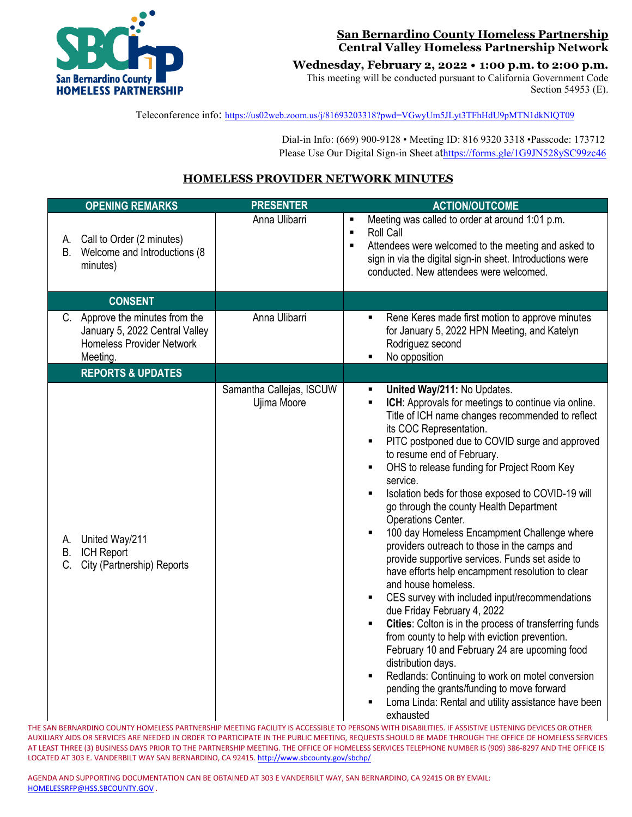

### **San Bernardino County Homeless Partnership Central Valley Homeless Partnership Network**

**Wednesday, February 2, 2022 • 1:00 p.m. to 2:00 p.m.**

This meeting will be conducted pursuant to California Government Code Section 54953 (E).

Teleconference info:<https://us02web.zoom.us/j/81693203318?pwd=VGwyUm5JLyt3TFhHdU9pMTN1dkNlQT09>

 Dial-in Info: (669) 900-9128 • Meeting ID: 816 9320 3318 •Passcode: 173712 Please Use Our Digital Sign-in Sheet a[thttps://forms.gle/1G9JN528ySC99zc46](https://forms.gle/1G9JN528ySC99zc46)

# **HOMELESS PROVIDER NETWORK MINUTES**

| <b>OPENING REMARKS</b>                                                                                            | <b>PRESENTER</b>                        | <b>ACTION/OUTCOME</b>                                                                                                                                                                                                                                                                                                                                                                                                                                                                                                                                                                                                                                                                                                                                                                                                                                                                                                                                                                                                                                                                                                                                       |
|-------------------------------------------------------------------------------------------------------------------|-----------------------------------------|-------------------------------------------------------------------------------------------------------------------------------------------------------------------------------------------------------------------------------------------------------------------------------------------------------------------------------------------------------------------------------------------------------------------------------------------------------------------------------------------------------------------------------------------------------------------------------------------------------------------------------------------------------------------------------------------------------------------------------------------------------------------------------------------------------------------------------------------------------------------------------------------------------------------------------------------------------------------------------------------------------------------------------------------------------------------------------------------------------------------------------------------------------------|
| Call to Order (2 minutes)<br>А.<br>Welcome and Introductions (8)<br>В.<br>minutes)                                | Anna Ulibarri                           | Meeting was called to order at around 1:01 p.m.<br>$\blacksquare$<br>Roll Call<br>$\blacksquare$<br>Attendees were welcomed to the meeting and asked to<br>$\blacksquare$<br>sign in via the digital sign-in sheet. Introductions were<br>conducted. New attendees were welcomed.                                                                                                                                                                                                                                                                                                                                                                                                                                                                                                                                                                                                                                                                                                                                                                                                                                                                           |
| <b>CONSENT</b>                                                                                                    |                                         |                                                                                                                                                                                                                                                                                                                                                                                                                                                                                                                                                                                                                                                                                                                                                                                                                                                                                                                                                                                                                                                                                                                                                             |
| C. Approve the minutes from the<br>January 5, 2022 Central Valley<br><b>Homeless Provider Network</b><br>Meeting. | Anna Ulibarri                           | Rene Keres made first motion to approve minutes<br>$\blacksquare$<br>for January 5, 2022 HPN Meeting, and Katelyn<br>Rodriguez second<br>No opposition                                                                                                                                                                                                                                                                                                                                                                                                                                                                                                                                                                                                                                                                                                                                                                                                                                                                                                                                                                                                      |
| <b>REPORTS &amp; UPDATES</b>                                                                                      |                                         |                                                                                                                                                                                                                                                                                                                                                                                                                                                                                                                                                                                                                                                                                                                                                                                                                                                                                                                                                                                                                                                                                                                                                             |
| United Way/211<br>А.<br>B. ICH Report<br>C. City (Partnership) Reports                                            | Samantha Callejas, ISCUW<br>Ujima Moore | United Way/211: No Updates.<br>$\blacksquare$<br>ICH: Approvals for meetings to continue via online.<br>$\blacksquare$<br>Title of ICH name changes recommended to reflect<br>its COC Representation.<br>PITC postponed due to COVID surge and approved<br>to resume end of February.<br>OHS to release funding for Project Room Key<br>٠<br>service.<br>Isolation beds for those exposed to COVID-19 will<br>Ξ<br>go through the county Health Department<br>Operations Center.<br>100 day Homeless Encampment Challenge where<br>providers outreach to those in the camps and<br>provide supportive services. Funds set aside to<br>have efforts help encampment resolution to clear<br>and house homeless.<br>CES survey with included input/recommendations<br>due Friday February 4, 2022<br>Cities: Colton is in the process of transferring funds<br>Ξ<br>from county to help with eviction prevention.<br>February 10 and February 24 are upcoming food<br>distribution days.<br>Redlands: Continuing to work on motel conversion<br>pending the grants/funding to move forward<br>Loma Linda: Rental and utility assistance have been<br>exhausted |

THE SAN BERNARDINO COUNTY HOMELESS PARTNERSHIP MEETING FACILITY IS ACCESSIBLE TO PERSONS WITH DISABILITIES. IF ASSISTIVE LISTENING DEVICES OR OTHER AUXILIARY AIDS OR SERVICES ARE NEEDED IN ORDER TO PARTICIPATE IN THE PUBLIC MEETING, REQUESTS SHOULD BE MADE THROUGH THE OFFICE OF HOMELESS SERVICES AT LEAST THREE (3) BUSINESS DAYS PRIOR TO THE PARTNERSHIP MEETING. THE OFFICE OF HOMELESS SERVICES TELEPHONE NUMBER IS (909) 386-8297 AND THE OFFICE IS LOCATED AT 303 E. VANDERBILT WAY SAN BERNARDINO, CA 92415[. http://www.sbcounty.gov/sbchp/](http://www.sbcounty.gov/sbchp/)

AGENDA AND SUPPORTING DOCUMENTATION CAN BE OBTAINED AT 303 E VANDERBILT WAY, SAN BERNARDINO, CA 92415 OR BY EMAIL: [HOMELESSRFP@HSS.SBCOUNTY.GOV](mailto:HOMELESSRFP@HSS.SBCOUNTY.GOV) .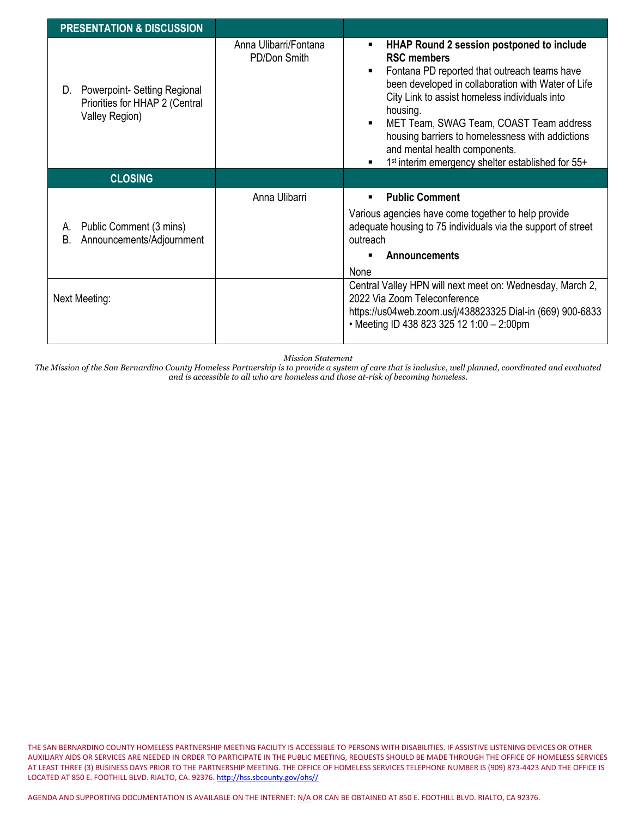| <b>PRESENTATION &amp; DISCUSSION</b>                                                  |                                       |                                                                                                                                                                                                                                                                                                                                                                                                                                     |
|---------------------------------------------------------------------------------------|---------------------------------------|-------------------------------------------------------------------------------------------------------------------------------------------------------------------------------------------------------------------------------------------------------------------------------------------------------------------------------------------------------------------------------------------------------------------------------------|
| Powerpoint-Setting Regional<br>D.<br>Priorities for HHAP 2 (Central<br>Valley Region) | Anna Ulibarri/Fontana<br>PD/Don Smith | HHAP Round 2 session postponed to include<br><b>RSC members</b><br>Fontana PD reported that outreach teams have<br>been developed in collaboration with Water of Life<br>City Link to assist homeless individuals into<br>housing.<br>MET Team, SWAG Team, COAST Team address<br>housing barriers to homelessness with addictions<br>and mental health components.<br>1 <sup>st</sup> interim emergency shelter established for 55+ |
| <b>CLOSING</b>                                                                        |                                       |                                                                                                                                                                                                                                                                                                                                                                                                                                     |
| Public Comment (3 mins)<br>А.<br>B.<br>Announcements/Adjournment                      | Anna Ulibarri                         | <b>Public Comment</b><br>Various agencies have come together to help provide<br>adequate housing to 75 individuals via the support of street<br>outreach<br>Announcements<br>None                                                                                                                                                                                                                                                   |
| Next Meeting:                                                                         |                                       | Central Valley HPN will next meet on: Wednesday, March 2,<br>2022 Via Zoom Teleconference<br>https://us04web.zoom.us/j/438823325 Dial-in (669) 900-6833<br>• Meeting ID 438 823 325 12 1:00 - 2:00pm                                                                                                                                                                                                                                |

*Mission Statement*

*The Mission of the San Bernardino County Homeless Partnership is to provide a system of care that is inclusive, well planned, coordinated and evaluated and is accessible to all who are homeless and those at-risk of becoming homeless.*

THE SAN BERNARDINO COUNTY HOMELESS PARTNERSHIP MEETING FACILITY IS ACCESSIBLE TO PERSONS WITH DISABILITIES. IF ASSISTIVE LISTENING DEVICES OR OTHER AUXILIARY AIDS OR SERVICES ARE NEEDED IN ORDER TO PARTICIPATE IN THE PUBLIC MEETING, REQUESTS SHOULD BE MADE THROUGH THE OFFICE OF HOMELESS SERVICES AT LEAST THREE (3) BUSINESS DAYS PRIOR TO THE PARTNERSHIP MEETING. THE OFFICE OF HOMELESS SERVICES TELEPHONE NUMBER IS (909) 873-4423 AND THE OFFICE IS LOCATED AT 850 E. FOOTHILL BLVD. RIALTO, CA. 92376[. http://hss.sbcounty.gov/ohs//](http://hss.sbcounty.gov/ohs/)

AGENDA AND SUPPORTING DOCUMENTATION IS AVAILABLE ON THE INTERNET: N/A OR CAN BE OBTAINED AT 850 E. FOOTHILL BLVD. RIALTO, CA 92376.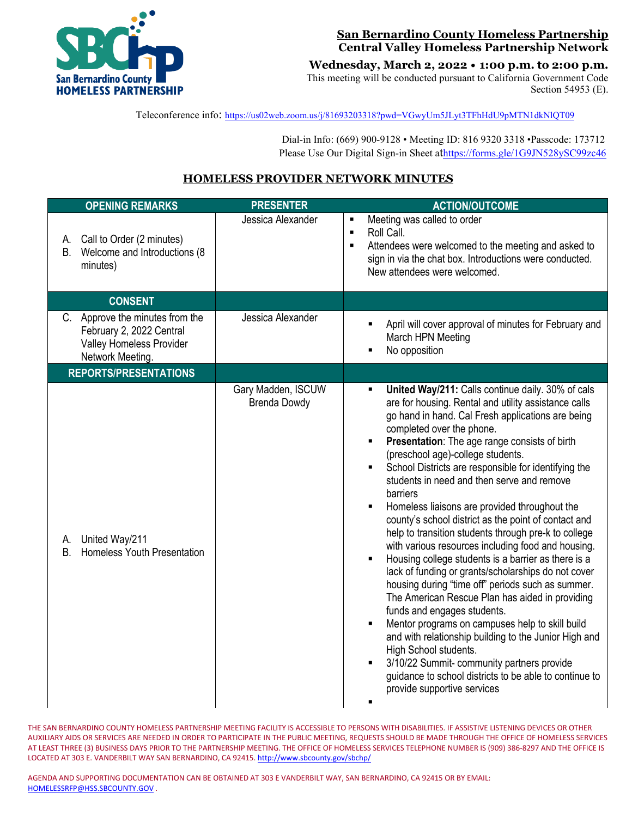

### **San Bernardino County Homeless Partnership Central Valley Homeless Partnership Network**

**Wednesday, March 2, 2022 • 1:00 p.m. to 2:00 p.m.**

This meeting will be conducted pursuant to California Government Code Section 54953 (E).

Teleconference info:<https://us02web.zoom.us/j/81693203318?pwd=VGwyUm5JLyt3TFhHdU9pMTN1dkNlQT09>

 Dial-in Info: (669) 900-9128 • Meeting ID: 816 9320 3318 •Passcode: 173712 Please Use Our Digital Sign-in Sheet a[thttps://forms.gle/1G9JN528ySC99zc46](https://forms.gle/1G9JN528ySC99zc46)

# **HOMELESS PROVIDER NETWORK MINUTES**

| <b>OPENING REMARKS</b>                                                                                         | <b>PRESENTER</b>                          | <b>ACTION/OUTCOME</b>                                                                                                                                                                                                                                                                                                                                                                                                                                                                                                                                                                                                                                                                                                                                                                                                                                                                                                                                                                                                                                                                                                                                                                                             |
|----------------------------------------------------------------------------------------------------------------|-------------------------------------------|-------------------------------------------------------------------------------------------------------------------------------------------------------------------------------------------------------------------------------------------------------------------------------------------------------------------------------------------------------------------------------------------------------------------------------------------------------------------------------------------------------------------------------------------------------------------------------------------------------------------------------------------------------------------------------------------------------------------------------------------------------------------------------------------------------------------------------------------------------------------------------------------------------------------------------------------------------------------------------------------------------------------------------------------------------------------------------------------------------------------------------------------------------------------------------------------------------------------|
| Call to Order (2 minutes)<br>А.<br>Welcome and Introductions (8<br>B.<br>minutes)                              | Jessica Alexander                         | Meeting was called to order<br>Roll Call.<br>$\blacksquare$<br>Attendees were welcomed to the meeting and asked to<br>$\blacksquare$<br>sign in via the chat box. Introductions were conducted.<br>New attendees were welcomed.                                                                                                                                                                                                                                                                                                                                                                                                                                                                                                                                                                                                                                                                                                                                                                                                                                                                                                                                                                                   |
| <b>CONSENT</b>                                                                                                 |                                           |                                                                                                                                                                                                                                                                                                                                                                                                                                                                                                                                                                                                                                                                                                                                                                                                                                                                                                                                                                                                                                                                                                                                                                                                                   |
| Approve the minutes from the<br>C.<br>February 2, 2022 Central<br>Valley Homeless Provider<br>Network Meeting. | Jessica Alexander                         | April will cover approval of minutes for February and<br>March HPN Meeting<br>No opposition                                                                                                                                                                                                                                                                                                                                                                                                                                                                                                                                                                                                                                                                                                                                                                                                                                                                                                                                                                                                                                                                                                                       |
| <b>REPORTS/PRESENTATIONS</b>                                                                                   |                                           |                                                                                                                                                                                                                                                                                                                                                                                                                                                                                                                                                                                                                                                                                                                                                                                                                                                                                                                                                                                                                                                                                                                                                                                                                   |
| United Way/211<br>А.<br>Homeless Youth Presentation<br><b>B.</b>                                               | Gary Madden, ISCUW<br><b>Brenda Dowdy</b> | United Way/211: Calls continue daily. 30% of cals<br>$\blacksquare$<br>are for housing. Rental and utility assistance calls<br>go hand in hand. Cal Fresh applications are being<br>completed over the phone.<br>Presentation: The age range consists of birth<br>(preschool age)-college students.<br>School Districts are responsible for identifying the<br>students in need and then serve and remove<br>barriers<br>Homeless liaisons are provided throughout the<br>$\blacksquare$<br>county's school district as the point of contact and<br>help to transition students through pre-k to college<br>with various resources including food and housing.<br>Housing college students is a barrier as there is a<br>lack of funding or grants/scholarships do not cover<br>housing during "time off" periods such as summer.<br>The American Rescue Plan has aided in providing<br>funds and engages students.<br>Mentor programs on campuses help to skill build<br>and with relationship building to the Junior High and<br>High School students.<br>3/10/22 Summit- community partners provide<br>guidance to school districts to be able to continue to<br>provide supportive services<br>$\blacksquare$ |

THE SAN BERNARDINO COUNTY HOMELESS PARTNERSHIP MEETING FACILITY IS ACCESSIBLE TO PERSONS WITH DISABILITIES. IF ASSISTIVE LISTENING DEVICES OR OTHER AUXILIARY AIDS OR SERVICES ARE NEEDED IN ORDER TO PARTICIPATE IN THE PUBLIC MEETING, REQUESTS SHOULD BE MADE THROUGH THE OFFICE OF HOMELESS SERVICES AT LEAST THREE (3) BUSINESS DAYS PRIOR TO THE PARTNERSHIP MEETING. THE OFFICE OF HOMELESS SERVICES TELEPHONE NUMBER IS (909) 386-8297 AND THE OFFICE IS LOCATED AT 303 E. VANDERBILT WAY SAN BERNARDINO, CA 92415[. http://www.sbcounty.gov/sbchp/](http://www.sbcounty.gov/sbchp/)

AGENDA AND SUPPORTING DOCUMENTATION CAN BE OBTAINED AT 303 E VANDERBILT WAY, SAN BERNARDINO, CA 92415 OR BY EMAIL: [HOMELESSRFP@HSS.SBCOUNTY.GOV](mailto:HOMELESSRFP@HSS.SBCOUNTY.GOV) .